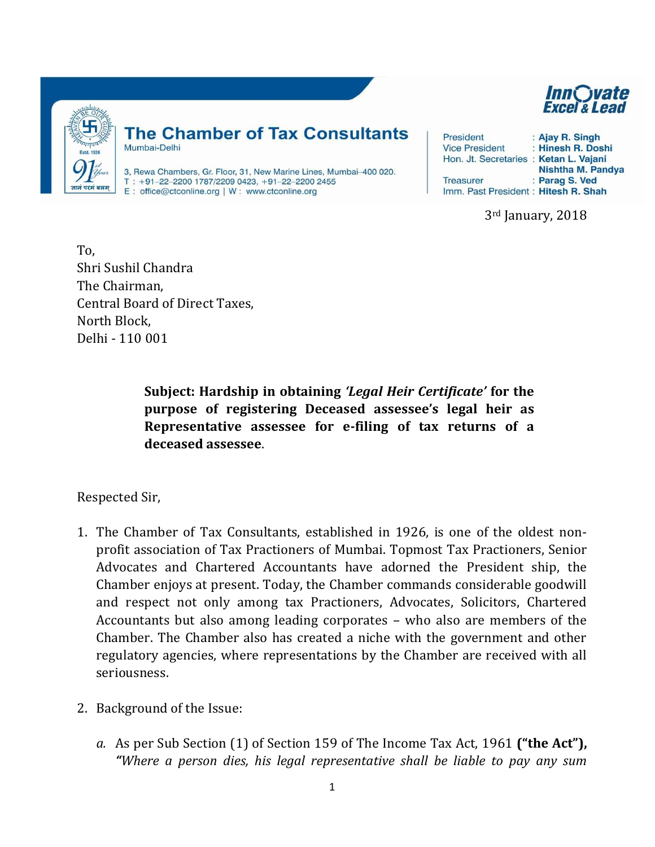

## **The Chamber of Tax Consultants** Mumbai-Delhi

3, Rewa Chambers, Gr. Floor, 31, New Marine Lines, Mumbai-400 020. T: +91-22-2200 1787/2209 0423, +91-22-2200 2455 E: office@ctconline.org | W: www.ctconline.org

| President                             | : Ajay R. Singh   |
|---------------------------------------|-------------------|
| <b>Vice President</b>                 | : Hinesh R. Doshi |
| Hon. Jt. Secretaries: Ketan L. Vajani |                   |
|                                       | Nishtha M. Pandya |
| <b>Treasurer</b>                      | : Parag S. Ved    |
| Imm. Past President: Hitesh R. Shah   |                   |

3rd January, 2018

To, Shri Sushil Chandra The Chairman, Central Board of Direct Taxes, North Block, Delhi - 110 001

> **Subject: Hardship in obtaining** *'Legal Heir Certificate'* **for the purpose of registering Deceased assessee's legal heir as Representative assessee for e-filing of tax returns of a deceased assessee**.

Respected Sir,

- 1. The Chamber of Tax Consultants, established in 1926, is one of the oldest nonprofit association of Tax Practioners of Mumbai. Topmost Tax Practioners, Senior Advocates and Chartered Accountants have adorned the President ship, the Chamber enjoys at present. Today, the Chamber commands considerable goodwill and respect not only among tax Practioners, Advocates, Solicitors, Chartered Accountants but also among leading corporates – who also are members of the Chamber. The Chamber also has created a niche with the government and other regulatory agencies, where representations by the Chamber are received with all seriousness.
- 2. Background of the Issue:
	- *a.* As per Sub Section (1) of Section 159 of The Income Tax Act, 1961 **("the Act"),**  *"Where a person dies, his legal representative shall be liable to pay any sum*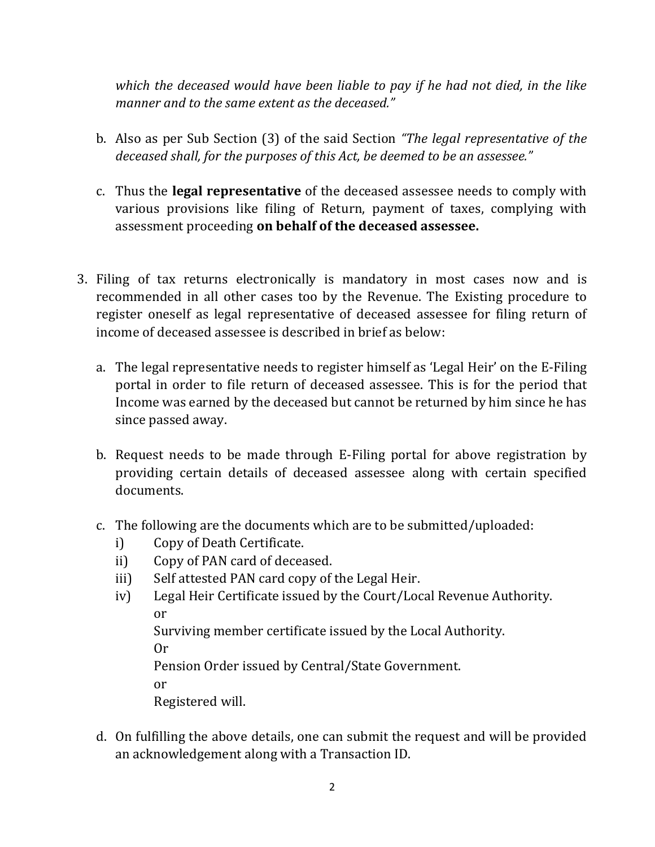*which the deceased would have been liable to pay if he had not died, in the like manner and to the same extent as the deceased."*

- b. Also as per Sub Section (3) of the said Section *"The legal representative of the deceased shall, for the purposes of this Act, be deemed to be an assessee."*
- c. Thus the **legal representative** of the deceased assessee needs to comply with various provisions like filing of Return, payment of taxes, complying with assessment proceeding **on behalf of the deceased assessee.**
- 3. Filing of tax returns electronically is mandatory in most cases now and is recommended in all other cases too by the Revenue. The Existing procedure to register oneself as legal representative of deceased assessee for filing return of income of deceased assessee is described in brief as below:
	- a. The legal representative needs to register himself as 'Legal Heir' on the E-Filing portal in order to file return of deceased assessee. This is for the period that Income was earned by the deceased but cannot be returned by him since he has since passed away.
	- b. Request needs to be made through E-Filing portal for above registration by providing certain details of deceased assessee along with certain specified documents.
	- c. The following are the documents which are to be submitted/uploaded:
		- i) Copy of Death Certificate.
		- ii) Copy of PAN card of deceased.
		- iii) Self attested PAN card copy of the Legal Heir.
		- iv) Legal Heir Certificate issued by the Court/Local Revenue Authority. or

Surviving member certificate issued by the Local Authority.

Or

Pension Order issued by Central/State Government.

or

Registered will.

d. On fulfilling the above details, one can submit the request and will be provided an acknowledgement along with a Transaction ID.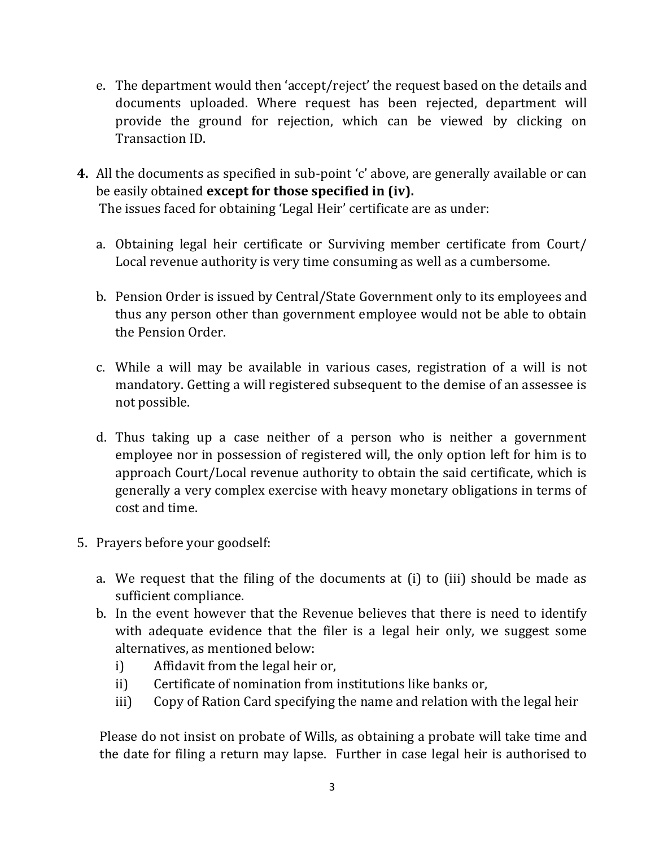- e. The department would then 'accept/reject' the request based on the details and documents uploaded. Where request has been rejected, department will provide the ground for rejection, which can be viewed by clicking on Transaction ID.
- **4.** All the documents as specified in sub-point 'c' above, are generally available or can be easily obtained **except for those specified in (iv).** The issues faced for obtaining 'Legal Heir' certificate are as under:
	- a. Obtaining legal heir certificate or Surviving member certificate from Court/ Local revenue authority is very time consuming as well as a cumbersome.
	- b. Pension Order is issued by Central/State Government only to its employees and thus any person other than government employee would not be able to obtain the Pension Order.
	- c. While a will may be available in various cases, registration of a will is not mandatory. Getting a will registered subsequent to the demise of an assessee is not possible.
	- d. Thus taking up a case neither of a person who is neither a government employee nor in possession of registered will, the only option left for him is to approach Court/Local revenue authority to obtain the said certificate, which is generally a very complex exercise with heavy monetary obligations in terms of cost and time.
- 5. Prayers before your goodself:
	- a. We request that the filing of the documents at (i) to (iii) should be made as sufficient compliance.
	- b. In the event however that the Revenue believes that there is need to identify with adequate evidence that the filer is a legal heir only, we suggest some alternatives, as mentioned below:
		- i) Affidavit from the legal heir or,
		- ii) Certificate of nomination from institutions like banks or,
		- iii) Copy of Ration Card specifying the name and relation with the legal heir

Please do not insist on probate of Wills, as obtaining a probate will take time and the date for filing a return may lapse. Further in case legal heir is authorised to